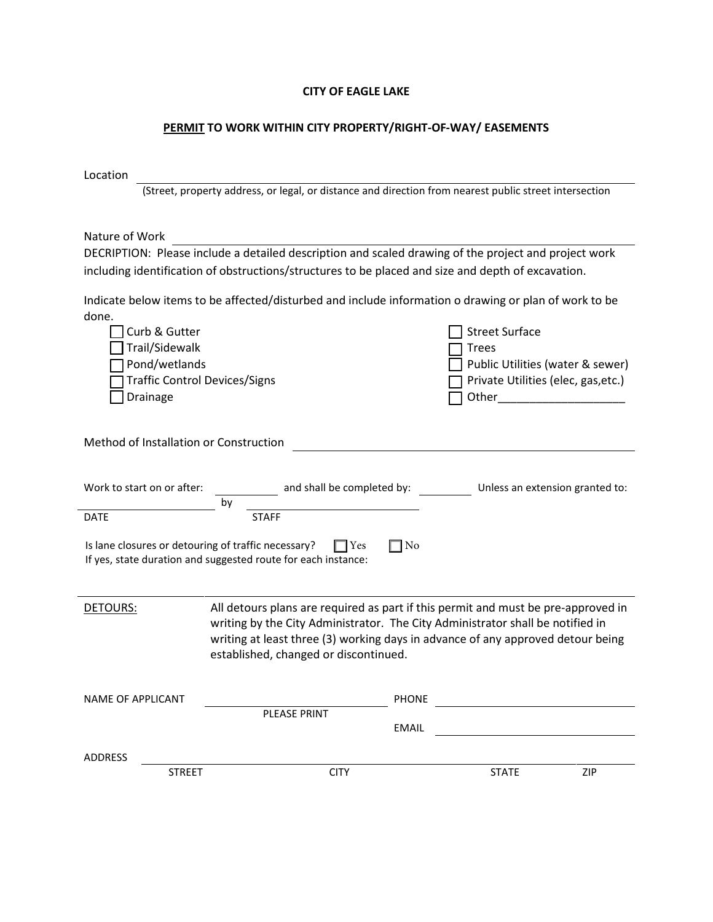#### CITY OF EAGLE LAKE

### PERMIT TO WORK WITHIN CITY PROPERTY/RIGHT-OF-WAY/ EASEMENTS

(Street, property address, or legal, or distance and direction from nearest public street intersection

Nature of Work

DECRIPTION: Please include a detailed description and scaled drawing of the project and project work including identification of obstructions/structures to be placed and size and depth of excavation.

Indicate below items to be affected/disturbed and include information o drawing or plan of work to be done.

| Curb & Gutter                                                                     |                                                               | <b>Street Surface</b>                                                             |  |  |
|-----------------------------------------------------------------------------------|---------------------------------------------------------------|-----------------------------------------------------------------------------------|--|--|
| Trail/Sidewalk                                                                    |                                                               | <b>Trees</b>                                                                      |  |  |
| Pond/wetlands                                                                     |                                                               | Public Utilities (water & sewer)                                                  |  |  |
|                                                                                   | <b>Traffic Control Devices/Signs</b>                          | Private Utilities (elec, gas, etc.)                                               |  |  |
| Drainage                                                                          |                                                               |                                                                                   |  |  |
|                                                                                   |                                                               |                                                                                   |  |  |
|                                                                                   |                                                               |                                                                                   |  |  |
| Method of Installation or Construction                                            |                                                               |                                                                                   |  |  |
|                                                                                   |                                                               |                                                                                   |  |  |
|                                                                                   |                                                               |                                                                                   |  |  |
| Work to start on or after:                                                        |                                                               | and shall be completed by: Completed by: Completed to:                            |  |  |
|                                                                                   | by                                                            |                                                                                   |  |  |
| <b>DATE</b>                                                                       | <b>STAFF</b>                                                  |                                                                                   |  |  |
|                                                                                   |                                                               |                                                                                   |  |  |
| Is lane closures or detouring of traffic necessary?<br>$\exists$ No<br>$\Box$ Yes |                                                               |                                                                                   |  |  |
|                                                                                   |                                                               |                                                                                   |  |  |
|                                                                                   | If yes, state duration and suggested route for each instance: |                                                                                   |  |  |
|                                                                                   |                                                               |                                                                                   |  |  |
|                                                                                   |                                                               |                                                                                   |  |  |
| <b>DETOURS:</b>                                                                   |                                                               | All detours plans are required as part if this permit and must be pre-approved in |  |  |
|                                                                                   |                                                               | writing by the City Administrator. The City Administrator shall be notified in    |  |  |
|                                                                                   |                                                               | writing at least three (3) working days in advance of any approved detour being   |  |  |
|                                                                                   | established, changed or discontinued.                         |                                                                                   |  |  |
|                                                                                   |                                                               |                                                                                   |  |  |
| <b>NAME OF APPLICANT</b>                                                          |                                                               | <b>PHONE</b>                                                                      |  |  |
|                                                                                   | <b>PLEASE PRINT</b>                                           |                                                                                   |  |  |
|                                                                                   |                                                               | <b>EMAIL</b>                                                                      |  |  |
|                                                                                   |                                                               |                                                                                   |  |  |
| <b>ADDRESS</b><br><b>STREET</b>                                                   | <b>CITY</b>                                                   | <b>STATE</b><br>ZIP                                                               |  |  |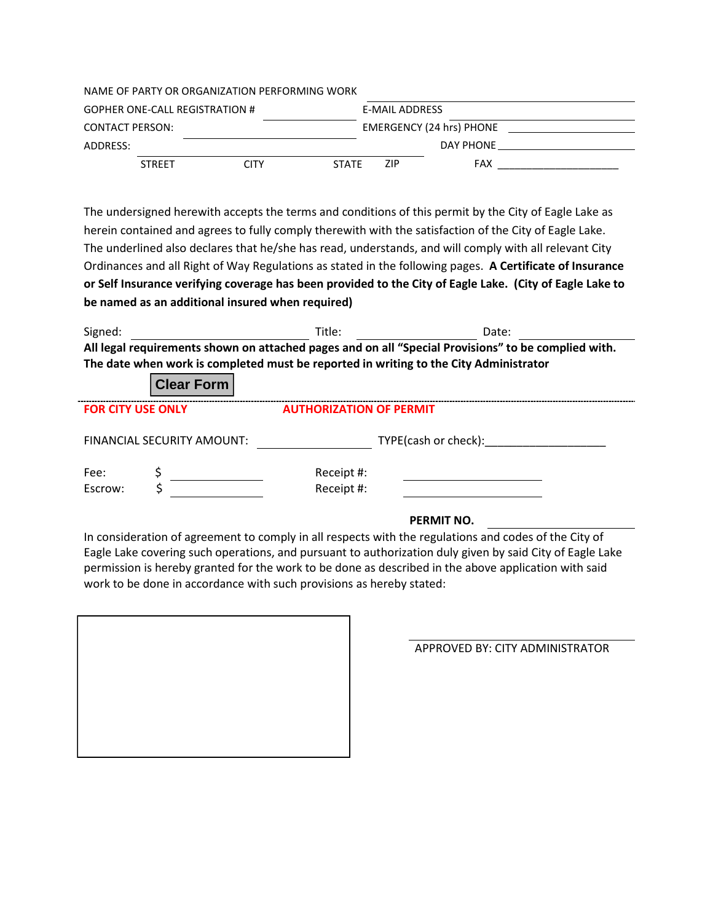| NAME OF PARTY OR ORGANIZATION PERFORMING WORK |               |      |                |      |                                 |  |
|-----------------------------------------------|---------------|------|----------------|------|---------------------------------|--|
| <b>GOPHER ONE-CALL REGISTRATION #</b>         |               |      | E-MAIL ADDRESS |      |                                 |  |
| CONTACT PERSON:                               |               |      |                |      | <b>EMERGENCY (24 hrs) PHONE</b> |  |
| ADDRESS:                                      |               |      |                |      | DAY PHONE                       |  |
|                                               | <b>STRFFT</b> | CITY | <b>STATE</b>   | ZIP. | FAX                             |  |

The undersigned herewith accepts the terms and conditions of this permit by the City of Eagle Lake as herein contained and agrees to fully comply therewith with the satisfaction of the City of Eagle Lake. The underlined also declares that he/she has read, understands, and will comply with all relevant City Ordinances and all Right of Way Regulations as stated in the following pages. A Certificate of Insurance or Self Insurance verifying coverage has been provided to the City of Eagle Lake. (City of Eagle Lake to be named as an additional insured when required)

| Signed:                                                                               | Title: | Date:                                                                                               |  |  |  |
|---------------------------------------------------------------------------------------|--------|-----------------------------------------------------------------------------------------------------|--|--|--|
|                                                                                       |        | All legal requirements shown on attached pages and on all "Special Provisions" to be complied with. |  |  |  |
| The date when work is completed must be reported in writing to the City Administrator |        |                                                                                                     |  |  |  |
| Close Form                                                                            |        |                                                                                                     |  |  |  |

|                          | <b>VIGAL LUITH</b>         |                                |  |
|--------------------------|----------------------------|--------------------------------|--|
| <b>FOR CITY USE ONLY</b> |                            | <b>AUTHORIZATION OF PERMIT</b> |  |
|                          | FINANCIAL SECURITY AMOUNT: | TYPE(cash or check):           |  |
| Fee:<br>Escrow:          |                            | Receipt #:<br>Receipt #:       |  |

## PERMIT NO.

In consideration of agreement to comply in all respects with the regulations and codes of the City of Eagle Lake covering such operations, and pursuant to authorization duly given by said City of Eagle Lake permission is hereby granted for the work to be done as described in the above application with said work to be done in accordance with such provisions as hereby stated:

APPROVED BY: CITY ADMINISTRATOR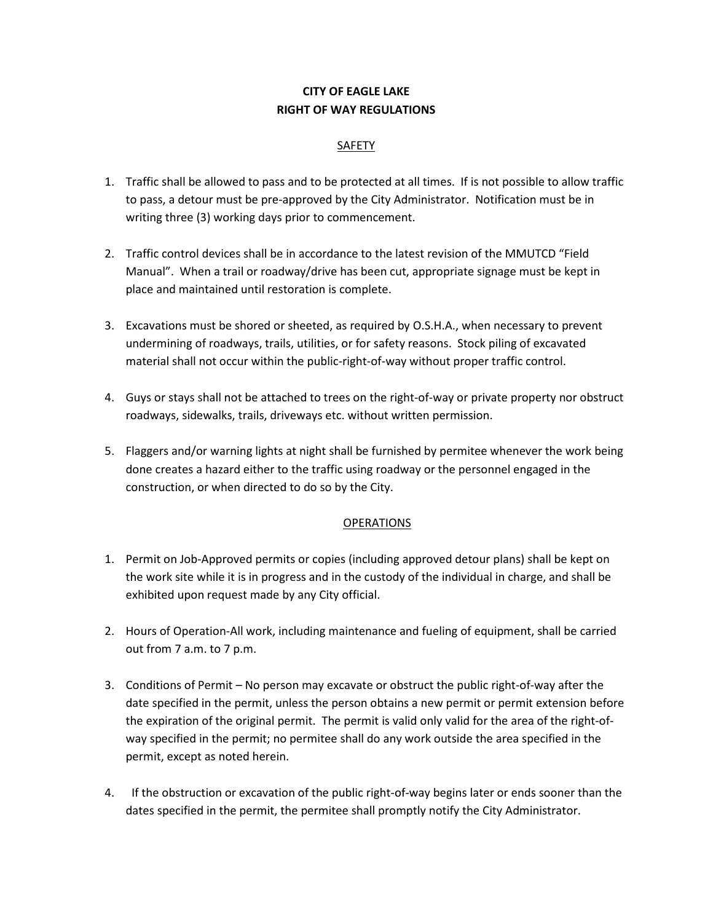# CITY OF EAGLE LAKE RIGHT OF WAY REGULATIONS

## SAFETY

- 1. Traffic shall be allowed to pass and to be protected at all times. If is not possible to allow traffic to pass, a detour must be pre-approved by the City Administrator. Notification must be in writing three (3) working days prior to commencement.
- 2. Traffic control devices shall be in accordance to the latest revision of the MMUTCD "Field Manual". When a trail or roadway/drive has been cut, appropriate signage must be kept in place and maintained until restoration is complete.
- 3. Excavations must be shored or sheeted, as required by O.S.H.A., when necessary to prevent undermining of roadways, trails, utilities, or for safety reasons. Stock piling of excavated material shall not occur within the public-right-of-way without proper traffic control.
- 4. Guys or stays shall not be attached to trees on the right-of-way or private property nor obstruct roadways, sidewalks, trails, driveways etc. without written permission.
- 5. Flaggers and/or warning lights at night shall be furnished by permitee whenever the work being done creates a hazard either to the traffic using roadway or the personnel engaged in the construction, or when directed to do so by the City.

## **OPERATIONS**

- 1. Permit on Job-Approved permits or copies (including approved detour plans) shall be kept on the work site while it is in progress and in the custody of the individual in charge, and shall be exhibited upon request made by any City official.
- 2. Hours of Operation-All work, including maintenance and fueling of equipment, shall be carried out from 7 a.m. to 7 p.m.
- 3. Conditions of Permit No person may excavate or obstruct the public right-of-way after the date specified in the permit, unless the person obtains a new permit or permit extension before the expiration of the original permit. The permit is valid only valid for the area of the right-ofway specified in the permit; no permitee shall do any work outside the area specified in the permit, except as noted herein.
- 4. If the obstruction or excavation of the public right-of-way begins later or ends sooner than the dates specified in the permit, the permitee shall promptly notify the City Administrator.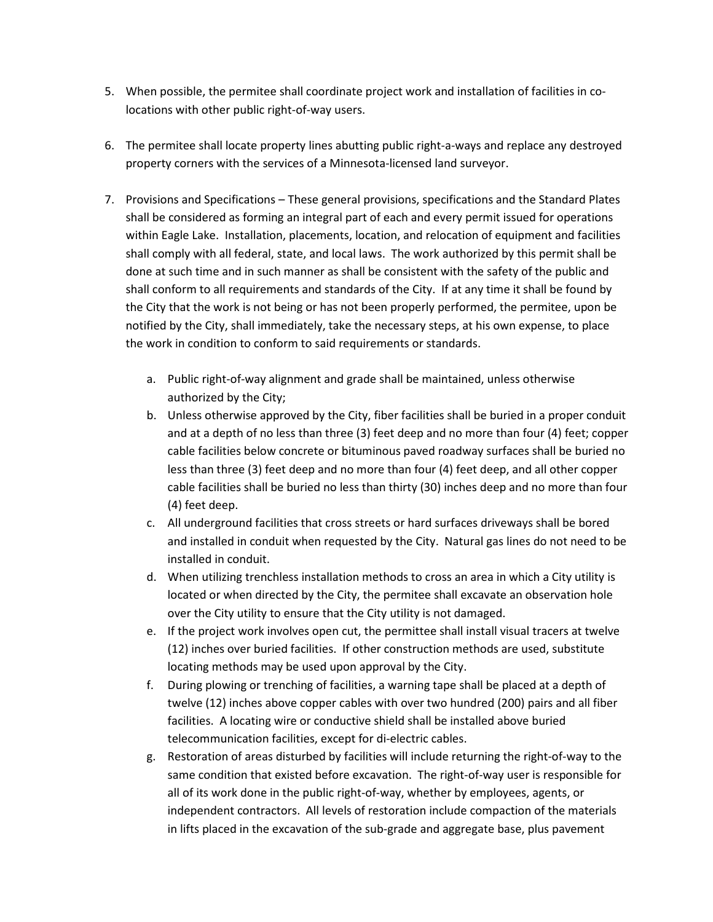- 5. When possible, the permitee shall coordinate project work and installation of facilities in colocations with other public right-of-way users.
- 6. The permitee shall locate property lines abutting public right-a-ways and replace any destroyed property corners with the services of a Minnesota-licensed land surveyor.
- 7. Provisions and Specifications These general provisions, specifications and the Standard Plates shall be considered as forming an integral part of each and every permit issued for operations within Eagle Lake. Installation, placements, location, and relocation of equipment and facilities shall comply with all federal, state, and local laws. The work authorized by this permit shall be done at such time and in such manner as shall be consistent with the safety of the public and shall conform to all requirements and standards of the City. If at any time it shall be found by the City that the work is not being or has not been properly performed, the permitee, upon be notified by the City, shall immediately, take the necessary steps, at his own expense, to place the work in condition to conform to said requirements or standards.
	- a. Public right-of-way alignment and grade shall be maintained, unless otherwise authorized by the City;
	- b. Unless otherwise approved by the City, fiber facilities shall be buried in a proper conduit and at a depth of no less than three (3) feet deep and no more than four (4) feet; copper cable facilities below concrete or bituminous paved roadway surfaces shall be buried no less than three (3) feet deep and no more than four (4) feet deep, and all other copper cable facilities shall be buried no less than thirty (30) inches deep and no more than four (4) feet deep.
	- c. All underground facilities that cross streets or hard surfaces driveways shall be bored and installed in conduit when requested by the City. Natural gas lines do not need to be installed in conduit.
	- d. When utilizing trenchless installation methods to cross an area in which a City utility is located or when directed by the City, the permitee shall excavate an observation hole over the City utility to ensure that the City utility is not damaged.
	- e. If the project work involves open cut, the permittee shall install visual tracers at twelve (12) inches over buried facilities. If other construction methods are used, substitute locating methods may be used upon approval by the City.
	- f. During plowing or trenching of facilities, a warning tape shall be placed at a depth of twelve (12) inches above copper cables with over two hundred (200) pairs and all fiber facilities. A locating wire or conductive shield shall be installed above buried telecommunication facilities, except for di-electric cables.
	- g. Restoration of areas disturbed by facilities will include returning the right-of-way to the same condition that existed before excavation. The right-of-way user is responsible for all of its work done in the public right-of-way, whether by employees, agents, or independent contractors. All levels of restoration include compaction of the materials in lifts placed in the excavation of the sub-grade and aggregate base, plus pavement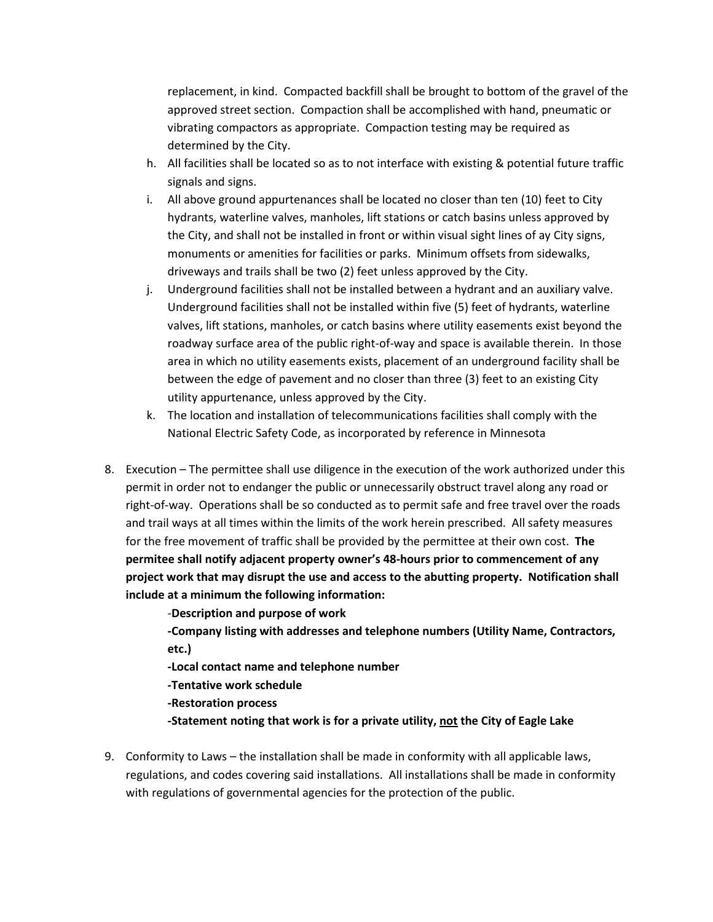replacement, in kind. Compacted backfill shall be brought to bottom of the gravel of the approved street section. Compaction shall be accomplished with hand, pneumatic or vibrating compactors as appropriate. Compaction testing may be required as determined by the City.

- h. All facilities shall be located so as to not interface with existing & potential future traffic signals and signs.
- i. All above ground appurtenances shall be located no closer than ten (10) feet to City hydrants, waterline valves, manholes, lift stations or catch basins unless approved by the City, and shall not be installed in front or within visual sight lines of ay City signs, monuments or amenities for facilities or parks. Minimum offsets from sidewalks, driveways and trails shall be two (2) feet unless approved by the City.
- j. Underground facilities shall not be installed between a hydrant and an auxiliary valve. Underground facilities shall not be installed within five (5) feet of hydrants, waterline valves, lift stations, manholes, or catch basins where utility easements exist beyond the roadway surface area of the public right-of-way and space is available therein. In those area in which no utility easements exists, placement of an underground facility shall be between the edge of pavement and no closer than three (3) feet to an existing City utility appurtenance, unless approved by the City.
- k. The location and installation of telecommunications facilities shall comply with the National Electric Safety Code, as incorporated by reference in Minnesota
- 8. Execution The permittee shall use diligence in the execution of the work authorized under this permit in order not to endanger the public or unnecessarily obstruct travel along any road or right-of-way. Operations shall be so conducted as to permit safe and free travel over the roads and trail ways at all times within the limits of the work herein prescribed. All safety measures for the free movement of traffic shall be provided by the permittee at their own cost. The permitee shall notify adjacent property owner's 48-hours prior to commencement of any project work that may disrupt the use and access to the abutting property. Notification shall include at a minimum the following information:

-Description and purpose of work

-Company listing with addresses and telephone numbers (Utility Name, Contractors, etc.)

-Local contact name and telephone number

-Tentative work schedule

-Restoration process

-Statement noting that work is for a private utility, not the City of Eagle Lake

9. Conformity to Laws – the installation shall be made in conformity with all applicable laws, regulations, and codes covering said installations. All installations shall be made in conformity with regulations of governmental agencies for the protection of the public.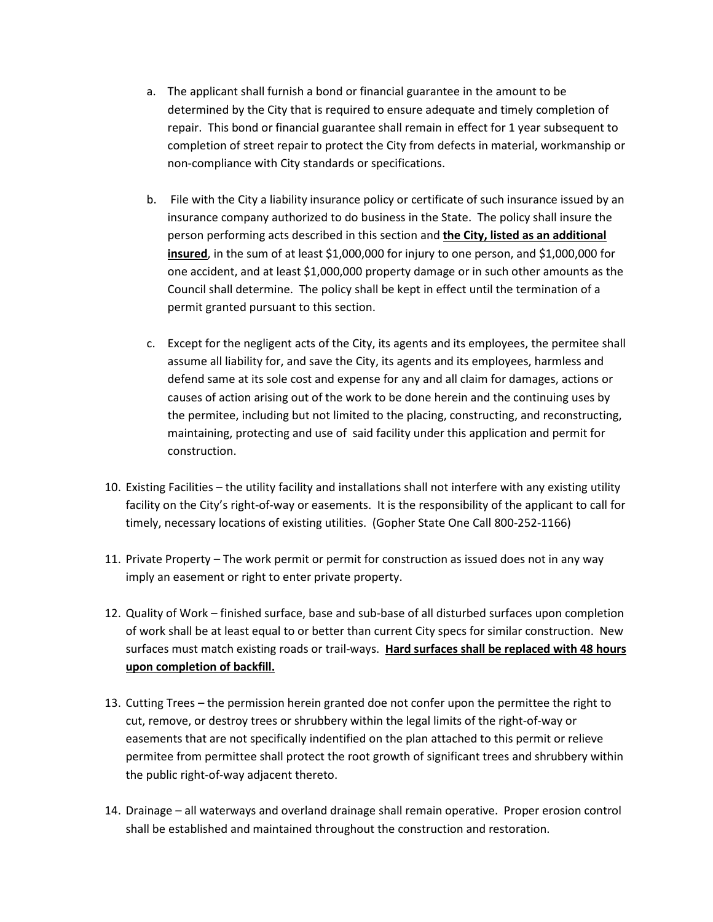- a. The applicant shall furnish a bond or financial guarantee in the amount to be determined by the City that is required to ensure adequate and timely completion of repair. This bond or financial guarantee shall remain in effect for 1 year subsequent to completion of street repair to protect the City from defects in material, workmanship or non-compliance with City standards or specifications.
- b. File with the City a liability insurance policy or certificate of such insurance issued by an insurance company authorized to do business in the State. The policy shall insure the person performing acts described in this section and the City, listed as an additional insured, in the sum of at least \$1,000,000 for injury to one person, and \$1,000,000 for one accident, and at least \$1,000,000 property damage or in such other amounts as the Council shall determine. The policy shall be kept in effect until the termination of a permit granted pursuant to this section.
- c. Except for the negligent acts of the City, its agents and its employees, the permitee shall assume all liability for, and save the City, its agents and its employees, harmless and defend same at its sole cost and expense for any and all claim for damages, actions or causes of action arising out of the work to be done herein and the continuing uses by the permitee, including but not limited to the placing, constructing, and reconstructing, maintaining, protecting and use of said facility under this application and permit for construction.
- 10. Existing Facilities the utility facility and installations shall not interfere with any existing utility facility on the City's right-of-way or easements. It is the responsibility of the applicant to call for timely, necessary locations of existing utilities. (Gopher State One Call 800-252-1166)
- 11. Private Property The work permit or permit for construction as issued does not in any way imply an easement or right to enter private property.
- 12. Quality of Work finished surface, base and sub-base of all disturbed surfaces upon completion of work shall be at least equal to or better than current City specs for similar construction. New surfaces must match existing roads or trail-ways. Hard surfaces shall be replaced with 48 hours upon completion of backfill.
- 13. Cutting Trees the permission herein granted doe not confer upon the permittee the right to cut, remove, or destroy trees or shrubbery within the legal limits of the right-of-way or easements that are not specifically indentified on the plan attached to this permit or relieve permitee from permittee shall protect the root growth of significant trees and shrubbery within the public right-of-way adjacent thereto.
- 14. Drainage all waterways and overland drainage shall remain operative. Proper erosion control shall be established and maintained throughout the construction and restoration.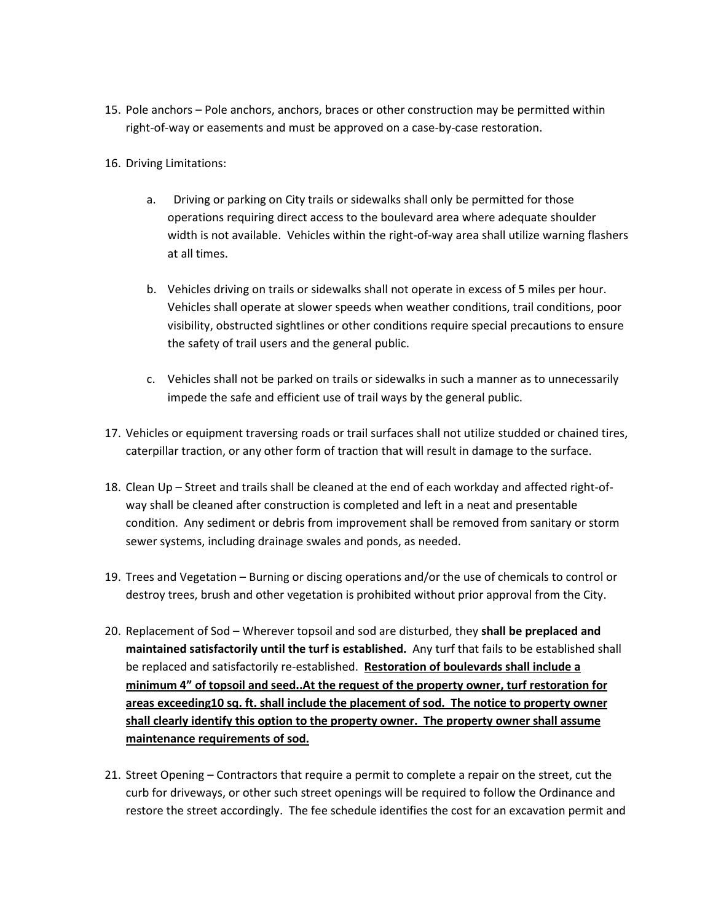- 15. Pole anchors Pole anchors, anchors, braces or other construction may be permitted within right-of-way or easements and must be approved on a case-by-case restoration.
- 16. Driving Limitations:
	- a. Driving or parking on City trails or sidewalks shall only be permitted for those operations requiring direct access to the boulevard area where adequate shoulder width is not available. Vehicles within the right-of-way area shall utilize warning flashers at all times.
	- b. Vehicles driving on trails or sidewalks shall not operate in excess of 5 miles per hour. Vehicles shall operate at slower speeds when weather conditions, trail conditions, poor visibility, obstructed sightlines or other conditions require special precautions to ensure the safety of trail users and the general public.
	- c. Vehicles shall not be parked on trails or sidewalks in such a manner as to unnecessarily impede the safe and efficient use of trail ways by the general public.
- 17. Vehicles or equipment traversing roads or trail surfaces shall not utilize studded or chained tires, caterpillar traction, or any other form of traction that will result in damage to the surface.
- 18. Clean Up Street and trails shall be cleaned at the end of each workday and affected right-ofway shall be cleaned after construction is completed and left in a neat and presentable condition. Any sediment or debris from improvement shall be removed from sanitary or storm sewer systems, including drainage swales and ponds, as needed.
- 19. Trees and Vegetation Burning or discing operations and/or the use of chemicals to control or destroy trees, brush and other vegetation is prohibited without prior approval from the City.
- 20. Replacement of Sod Wherever topsoil and sod are disturbed, they shall be preplaced and maintained satisfactorily until the turf is established. Any turf that fails to be established shall be replaced and satisfactorily re-established. Restoration of boulevards shall include a minimum 4" of topsoil and seed..At the request of the property owner, turf restoration for areas exceeding10 sq. ft. shall include the placement of sod. The notice to property owner shall clearly identify this option to the property owner. The property owner shall assume maintenance requirements of sod.
- 21. Street Opening Contractors that require a permit to complete a repair on the street, cut the curb for driveways, or other such street openings will be required to follow the Ordinance and restore the street accordingly. The fee schedule identifies the cost for an excavation permit and